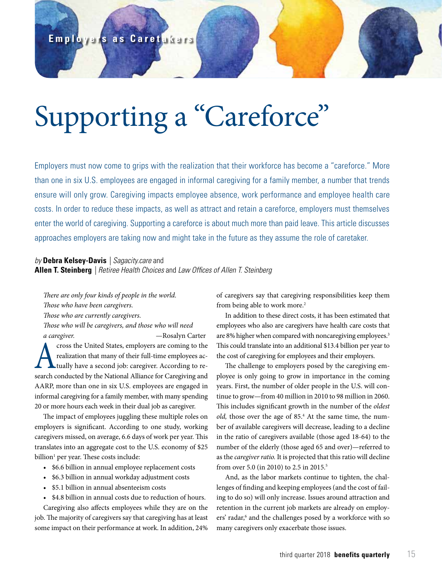# Supporting a "Careforce"

Employers must now come to grips with the realization that their workforce has become a "careforce." More than one in six U.S. employees are engaged in informal caregiving for a family member, a number that trends ensure will only grow. Caregiving impacts employee absence, work performance and employee health care costs. In order to reduce these impacts, as well as attract and retain a careforce, employers must themselves enter the world of caregiving. Supporting a careforce is about much more than paid leave. This article discusses approaches employers are taking now and might take in the future as they assume the role of caretaker.

## *by* **Debra Kelsey-Davis** *| Sagacity.care* and **Allen T. Steinberg** *| Retiree Health Choices* and *Law Offices of Allen T. Steinberg*

*There are only four kinds of people in the world. Those who have been caregivers.*

*Those who are currently caregivers.*

*Those who will be caregivers, and those who will need a caregiver.* —Rosalyn Carter

cross the United States, employers are coming to the<br>realization that many of their full-time employees ac-<br>tually have a second job: caregiver. According to re-<br>search conducted by the National Alliance for Caregiving and realization that many of their full-time employees actually have a second job: caregiver. According to research conducted by the National Alliance for Caregiving and AARP, more than one in six U.S. employees are engaged in informal caregiving for a family member, with many spending 20 or more hours each week in their dual job as caregiver.

The impact of employees juggling these multiple roles on employers is significant. According to one study, working caregivers missed, on average, 6.6 days of work per year. This translates into an aggregate cost to the U.S. economy of \$25 billion<sup>1</sup> per year. These costs include:

- \$6.6 billion in annual employee replacement costs
- \$6.3 billion in annual workday adjustment costs
- \$5.1 billion in annual absenteeism costs
- \$4.8 billion in annual costs due to reduction of hours.

Caregiving also affects employees while they are on the job. The majority of caregivers say that caregiving has at least some impact on their performance at work. In addition, 24%

of caregivers say that caregiving responsibilities keep them from being able to work more.<sup>2</sup>

In addition to these direct costs, it has been estimated that employees who also are caregivers have health care costs that are 8% higher when compared with noncaregiving employees.<sup>3</sup> This could translate into an additional \$13.4 billion per year to the cost of caregiving for employees and their employers.

The challenge to employers posed by the caregiving employee is only going to grow in importance in the coming years. First, the number of older people in the U.S. will continue to grow—from 40 million in 2010 to 98 million in 2060. This includes significant growth in the number of the *oldest*  old, those over the age of 85.<sup>4</sup> At the same time, the number of available caregivers will decrease, leading to a decline in the ratio of caregivers available (those aged 18-64) to the number of the elderly (those aged 65 and over)—referred to as the *caregiver ratio.* It is projected that this ratio will decline from over 5.0 (in 2010) to 2.5 in 2015.5

And, as the labor markets continue to tighten, the challenges of finding and keeping employees (and the cost of failing to do so) will only increase. Issues around attraction and retention in the current job markets are already on employers' radar,<sup>6</sup> and the challenges posed by a workforce with so many caregivers only exacerbate those issues.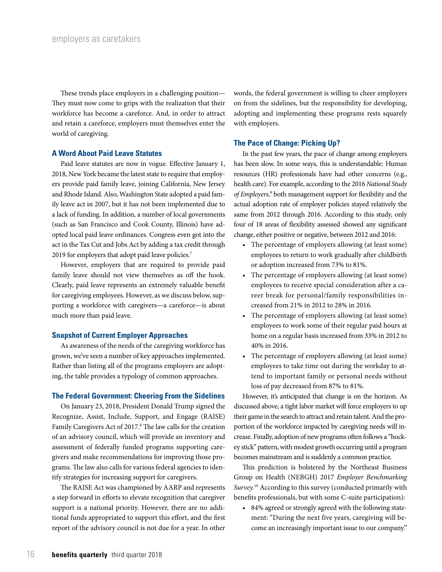These trends place employers in a challenging position— They must now come to grips with the realization that their workforce has become a careforce. And, in order to attract and retain a careforce, employers must themselves enter the world of caregiving.

## **A Word About Paid Leave Statutes**

Paid leave statutes are now in vogue. Effective January 1, 2018, New York became the latest state to require that employers provide paid family leave, joining California, New Jersey and Rhode Island. Also, Washington State adopted a paid family leave act in 2007, but it has not been implemented due to a lack of funding. In addition, a number of local governments (such as San Francisco and Cook County, Illinois) have adopted local paid leave ordinances. Congress even got into the act in the Tax Cut and Jobs Act by adding a tax credit through 2019 for employers that adopt paid leave policies.<sup>7</sup>

However, employers that are required to provide paid family leave should not view themselves as off the hook. Clearly, paid leave represents an extremely valuable benefit for caregiving employees. However, as we discuss below, supporting a workforce with caregivers—a careforce—is about much more than paid leave.

## **Snapshot of Current Employer Approaches**

As awareness of the needs of the caregiving workforce has grown, we've seen a number of key approaches implemented. Rather than listing all of the programs employers are adopting, the table provides a typology of common approaches.

## **The Federal Government: Cheering From the Sidelines**

On January 23, 2018, President Donald Trump signed the Recognize, Assist, Include, Support, and Engage (RAISE) Family Caregivers Act of 2017.<sup>8</sup> The law calls for the creation of an advisory council, which will provide an inventory and assessment of federally funded programs supporting caregivers and make recommendations for improving those programs. The law also calls for various federal agencies to identify strategies for increasing support for caregivers.

The RAISE Act was championed by AARP and represents a step forward in efforts to elevate recognition that caregiver support is a national priority. However, there are no additional funds appropriated to support this effort, and the first report of the advisory council is not due for a year. In other words, the federal government is willing to cheer employers on from the sidelines, but the responsibility for developing, adopting and implementing these programs rests squarely with employers.

## **The Pace of Change: Picking Up?**

In the past few years, the pace of change among employers has been slow. In some ways, this is understandable: Human resources (HR) professionals have had other concerns (e.g., health care). For example, according to the 2016 *National Study of Employers*, 9 both management support for flexibility and the actual adoption rate of employer policies stayed relatively the same from 2012 through 2016. According to this study, only four of 18 areas of flexibility assessed showed any significant change, either positive or negative, between 2012 and 2016:

- The percentage of employers allowing (at least some) employees to return to work gradually after childbirth or adoption increased from 73% to 81%.
- The percentage of employers allowing (at least some) employees to receive special consideration after a career break for personal/family responsibilities increased from 21% in 2012 to 28% in 2016.
- The percentage of employers allowing (at least some) employees to work some of their regular paid hours at home on a regular basis increased from 33% in 2012 to 40% in 2016.
- The percentage of employers allowing (at least some) employees to take time out during the workday to attend to important family or personal needs without loss of pay decreased from 87% to 81%.

However, it's anticipated that change is on the horizon. As discussed above, a tight labor market will force employers to up their game in the search to attract and retain talent. And the proportion of the workforce impacted by caregiving needs will increase. Finally, adoption of new programs often follows a "hockey stick" pattern, with modest growth occurring until a program becomes mainstream and is suddenly a common practice.

This prediction is bolstered by the Northeast Business Group on Health (NEBGH) 2017 *Employer Benchmarking Survey.*10 According to this survey (conducted primarily with benefits professionals, but with some C-suite participation):

• 84% agreed or strongly agreed with the following statement: "During the next five years, caregiving will become an increasingly important issue to our company."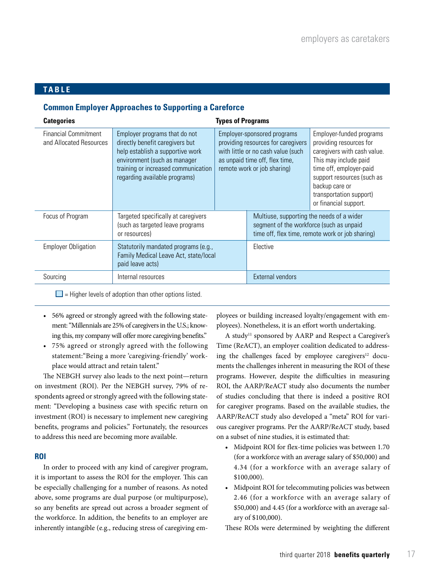# **TABLE**

# **Common Employer Approaches to Supporting a Careforce**

| <b>Categories</b>                                      | <b>Types of Programs</b>                                                                                                                                                                                     |  |                                                                                                                                                                          |                                                                                                                                                                                                                                            |
|--------------------------------------------------------|--------------------------------------------------------------------------------------------------------------------------------------------------------------------------------------------------------------|--|--------------------------------------------------------------------------------------------------------------------------------------------------------------------------|--------------------------------------------------------------------------------------------------------------------------------------------------------------------------------------------------------------------------------------------|
| <b>Financial Commitment</b><br>and Allocated Resources | Employer programs that do not<br>directly benefit caregivers but<br>help establish a supportive work<br>environment (such as manager<br>training or increased communication<br>regarding available programs) |  | Employer-sponsored programs<br>providing resources for caregivers<br>with little or no cash value (such<br>as unpaid time off, flex time,<br>remote work or job sharing) | Employer-funded programs<br>providing resources for<br>caregivers with cash value.<br>This may include paid<br>time off, employer-paid<br>support resources (such as<br>backup care or<br>transportation support)<br>or financial support. |
| Focus of Program                                       | Targeted specifically at caregivers<br>(such as targeted leave programs<br>or resources)                                                                                                                     |  | Multiuse, supporting the needs of a wider<br>segment of the workforce (such as unpaid<br>time off, flex time, remote work or job sharing)                                |                                                                                                                                                                                                                                            |
| <b>Employer Obligation</b>                             | Statutorily mandated programs (e.g.,<br>Family Medical Leave Act, state/local<br>paid leave acts)                                                                                                            |  | Elective                                                                                                                                                                 |                                                                                                                                                                                                                                            |
| Sourcing                                               | Internal resources                                                                                                                                                                                           |  | <b>External vendors</b>                                                                                                                                                  |                                                                                                                                                                                                                                            |

 $\Box$  = Higher levels of adoption than other options listed.

- 56% agreed or strongly agreed with the following statement: "Millennials are 25% of caregivers in the U.S.; knowing this, my company will offer more caregiving benefits."
- 75% agreed or strongly agreed with the following statement:"Being a more 'caregiving-friendly' workplace would attract and retain talent."

The NEBGH survey also leads to the next point—return on investment (ROI). Per the NEBGH survey, 79% of respondents agreed or strongly agreed with the following statement: "Developing a business case with specific return on investment (ROI) is necessary to implement new caregiving benefits, programs and policies." Fortunately, the resources to address this need are becoming more available.

## **ROI**

In order to proceed with any kind of caregiver program, it is important to assess the ROI for the employer. This can be especially challenging for a number of reasons. As noted above, some programs are dual purpose (or multipurpose), so any benefits are spread out across a broader segment of the workforce. In addition, the benefits to an employer are inherently intangible (e.g., reducing stress of caregiving employees or building increased loyalty/engagement with employees). Nonetheless, it is an effort worth undertaking.

A study<sup>11</sup> sponsored by AARP and Respect a Caregiver's Time (ReACT), an employer coalition dedicated to addressing the challenges faced by employee caregivers $12$  documents the challenges inherent in measuring the ROI of these programs. However, despite the difficulties in measuring ROI, the AARP/ReACT study also documents the number of studies concluding that there is indeed a positive ROI for caregiver programs. Based on the available studies, the AARP/ReACT study also developed a "meta" ROI for various caregiver programs. Per the AARP/ReACT study, based on a subset of nine studies, it is estimated that:

- Midpoint ROI for flex-time policies was between 1.70 (for a workforce with an average salary of \$50,000) and 4.34 (for a workforce with an average salary of \$100,000).
- Midpoint ROI for telecommuting policies was between 2.46 (for a workforce with an average salary of \$50,000) and 4.45 (for a workforce with an average salary of \$100,000).

These ROIs were determined by weighting the different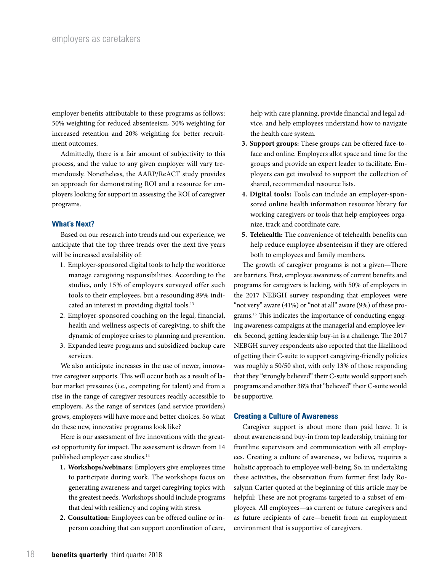employer benefits attributable to these programs as follows: 50% weighting for reduced absenteeism, 30% weighting for increased retention and 20% weighting for better recruitment outcomes.

Admittedly, there is a fair amount of subjectivity to this process, and the value to any given employer will vary tremendously. Nonetheless, the AARP/ReACT study provides an approach for demonstrating ROI and a resource for employers looking for support in assessing the ROI of caregiver programs.

## **What's Next?**

Based on our research into trends and our experience, we anticipate that the top three trends over the next five years will be increased availability of:

- 1. Employer-sponsored digital tools to help the workforce manage caregiving responsibilities. According to the studies, only 15% of employers surveyed offer such tools to their employees, but a resounding 89% indicated an interest in providing digital tools.<sup>13</sup>
- 2. Employer-sponsored coaching on the legal, financial, health and wellness aspects of caregiving, to shift the dynamic of employee crises to planning and prevention.
- 3. Expanded leave programs and subsidized backup care services.

We also anticipate increases in the use of newer, innovative caregiver supports. This will occur both as a result of labor market pressures (i.e., competing for talent) and from a rise in the range of caregiver resources readily accessible to employers. As the range of services (and service providers) grows, employers will have more and better choices. So what do these new, innovative programs look like?

Here is our assessment of five innovations with the greatest opportunity for impact. The assessment is drawn from 14 published employer case studies.<sup>14</sup>

- **1. Workshops/webinars:** Employers give employees time to participate during work. The workshops focus on generating awareness and target caregiving topics with the greatest needs. Workshops should include programs that deal with resiliency and coping with stress.
- **2. Consultation:** Employees can be offered online or inperson coaching that can support coordination of care,

help with care planning, provide financial and legal advice, and help employees understand how to navigate the health care system.

- **3. Support groups:** These groups can be offered face-toface and online. Employers allot space and time for the groups and provide an expert leader to facilitate. Employers can get involved to support the collection of shared, recommended resource lists.
- **4. Digital tools:** Tools can include an employer-sponsored online health information resource library for working caregivers or tools that help employees organize, track and coordinate care.
- **5. Telehealth:** The convenience of telehealth benefits can help reduce employee absenteeism if they are offered both to employees and family members.

The growth of caregiver programs is not a given—There are barriers. First, employee awareness of current benefits and programs for caregivers is lacking, with 50% of employers in the 2017 NEBGH survey responding that employees were "not very" aware (41%) or "not at all" aware (9%) of these programs.15 This indicates the importance of conducting engaging awareness campaigns at the managerial and employee levels. Second, getting leadership buy-in is a challenge. The 2017 NEBGH survey respondents also reported that the likelihood of getting their C-suite to support caregiving-friendly policies was roughly a 50/50 shot, with only 13% of those responding that they "strongly believed" their C-suite would support such programs and another 38% that "believed" their C-suite would be supportive.

## **Creating a Culture of Awareness**

Caregiver support is about more than paid leave. It is about awareness and buy-in from top leadership, training for frontline supervisors and communication with all employees. Creating a culture of awareness, we believe, requires a holistic approach to employee well-being. So, in undertaking these activities, the observation from former first lady Rosalynn Carter quoted at the beginning of this article may be helpful: These are not programs targeted to a subset of employees. All employees—as current or future caregivers and as future recipients of care—benefit from an employment environment that is supportive of caregivers.